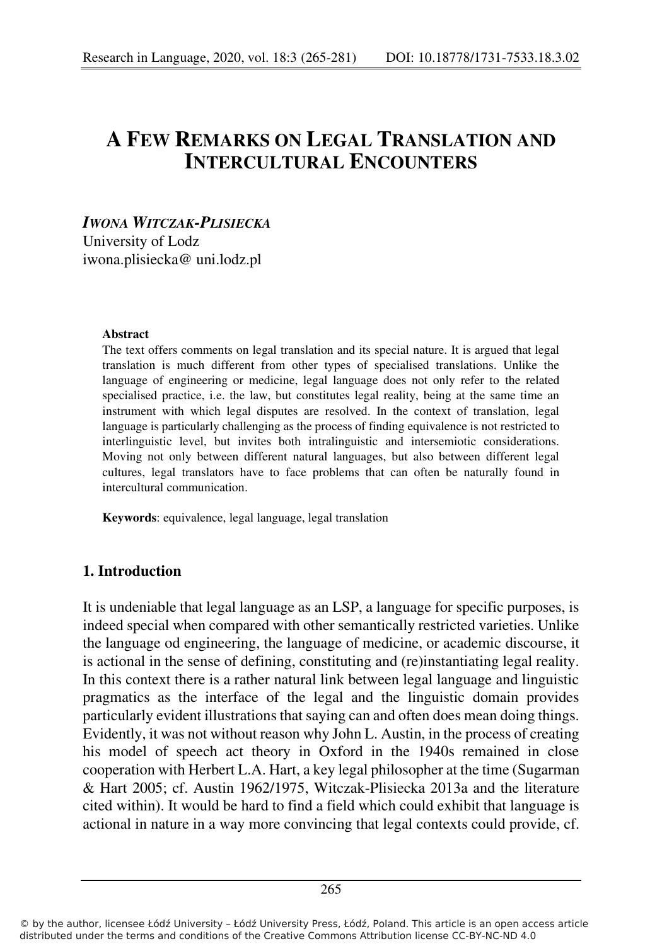# **A FEW REMARKS ON LEGAL TRANSLATION AND INTERCULTURAL ENCOUNTERS**

# *IWONA WITCZAK-PLISIECKA* University of Lodz iwona.plisiecka@ uni.lodz.pl

#### **Abstract**

The text offers comments on legal translation and its special nature. It is argued that legal translation is much different from other types of specialised translations. Unlike the language of engineering or medicine, legal language does not only refer to the related specialised practice, i.e. the law, but constitutes legal reality, being at the same time an instrument with which legal disputes are resolved. In the context of translation, legal language is particularly challenging as the process of finding equivalence is not restricted to interlinguistic level, but invites both intralinguistic and intersemiotic considerations. Moving not only between different natural languages, but also between different legal cultures, legal translators have to face problems that can often be naturally found in intercultural communication.

**Keywords**: equivalence, legal language, legal translation

## **1. Introduction**

It is undeniable that legal language as an LSP, a language for specific purposes, is indeed special when compared with other semantically restricted varieties. Unlike the language od engineering, the language of medicine, or academic discourse, it is actional in the sense of defining, constituting and (re)instantiating legal reality. In this context there is a rather natural link between legal language and linguistic pragmatics as the interface of the legal and the linguistic domain provides particularly evident illustrations that saying can and often does mean doing things. Evidently, it was not without reason why John L. Austin, in the process of creating his model of speech act theory in Oxford in the 1940s remained in close cooperation with Herbert L.A. Hart, a key legal philosopher at the time (Sugarman & Hart 2005; cf. Austin 1962/1975, Witczak-Plisiecka 2013a and the literature cited within). It would be hard to find a field which could exhibit that language is actional in nature in a way more convincing that legal contexts could provide, cf.

<sup>©</sup> by the author, licensee Łódź University – Łódź University Press, Łódź, Poland. This article is an open access article distributed under the terms and conditions of the Creative Commons Attribution license CC-BY-NC-ND 4.0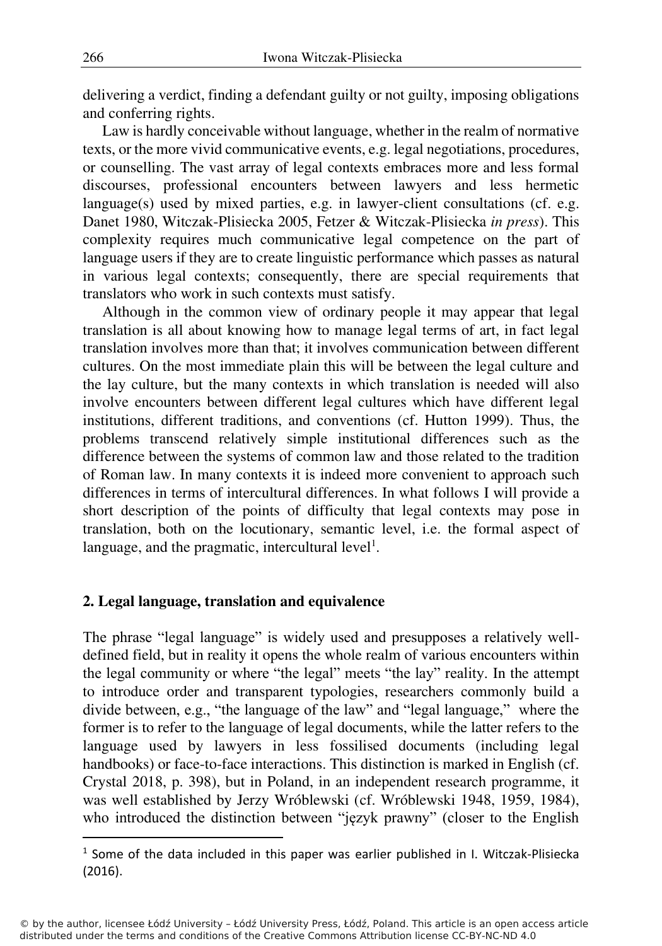delivering a verdict, finding a defendant guilty or not guilty, imposing obligations and conferring rights.

Law is hardly conceivable without language, whether in the realm of normative texts, or the more vivid communicative events, e.g. legal negotiations, procedures, or counselling. The vast array of legal contexts embraces more and less formal discourses, professional encounters between lawyers and less hermetic language(s) used by mixed parties, e.g. in lawyer-client consultations (cf. e.g. Danet 1980, Witczak-Plisiecka 2005, Fetzer & Witczak-Plisiecka *in press*). This complexity requires much communicative legal competence on the part of language users if they are to create linguistic performance which passes as natural in various legal contexts; consequently, there are special requirements that translators who work in such contexts must satisfy.

Although in the common view of ordinary people it may appear that legal translation is all about knowing how to manage legal terms of art, in fact legal translation involves more than that; it involves communication between different cultures. On the most immediate plain this will be between the legal culture and the lay culture, but the many contexts in which translation is needed will also involve encounters between different legal cultures which have different legal institutions, different traditions, and conventions (cf. Hutton 1999). Thus, the problems transcend relatively simple institutional differences such as the difference between the systems of common law and those related to the tradition of Roman law. In many contexts it is indeed more convenient to approach such differences in terms of intercultural differences. In what follows I will provide a short description of the points of difficulty that legal contexts may pose in translation, both on the locutionary, semantic level, i.e. the formal aspect of language, and the pragmatic, intercultural level<sup>1</sup>.

## **2. Legal language, translation and equivalence**

The phrase "legal language" is widely used and presupposes a relatively welldefined field, but in reality it opens the whole realm of various encounters within the legal community or where "the legal" meets "the lay" reality. In the attempt to introduce order and transparent typologies, researchers commonly build a divide between, e.g., "the language of the law" and "legal language," where the former is to refer to the language of legal documents, while the latter refers to the language used by lawyers in less fossilised documents (including legal handbooks) or face-to-face interactions. This distinction is marked in English (cf. Crystal 2018, p. 398), but in Poland, in an independent research programme, it was well established by Jerzy Wróblewski (cf. Wróblewski 1948, 1959, 1984), who introduced the distinction between "język prawny" (closer to the English

<sup>&</sup>lt;sup>1</sup> Some of the data included in this paper was earlier published in I. Witczak-Plisiecka (2016).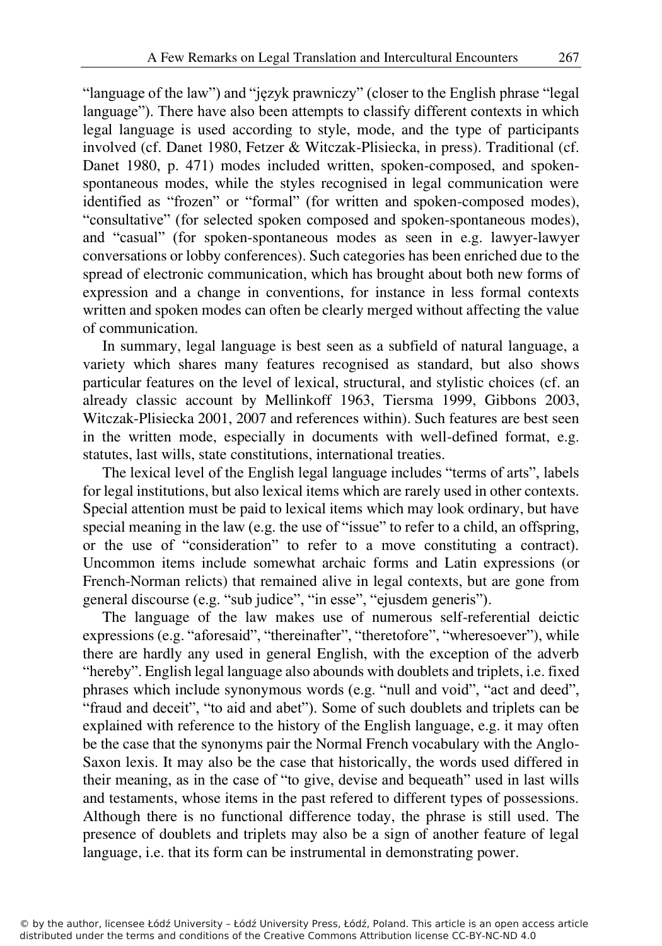"language of the law") and "język prawniczy" (closer to the English phrase "legal language"). There have also been attempts to classify different contexts in which legal language is used according to style, mode, and the type of participants involved (cf. Danet 1980, Fetzer & Witczak-Plisiecka, in press). Traditional (cf. Danet 1980, p. 471) modes included written, spoken-composed, and spokenspontaneous modes, while the styles recognised in legal communication were identified as "frozen" or "formal" (for written and spoken-composed modes), "consultative" (for selected spoken composed and spoken-spontaneous modes), and "casual" (for spoken-spontaneous modes as seen in e.g. lawyer-lawyer conversations or lobby conferences). Such categories has been enriched due to the spread of electronic communication, which has brought about both new forms of expression and a change in conventions, for instance in less formal contexts written and spoken modes can often be clearly merged without affecting the value of communication.

In summary, legal language is best seen as a subfield of natural language, a variety which shares many features recognised as standard, but also shows particular features on the level of lexical, structural, and stylistic choices (cf. an already classic account by Mellinkoff 1963, Tiersma 1999, Gibbons 2003, Witczak-Plisiecka 2001, 2007 and references within). Such features are best seen in the written mode, especially in documents with well-defined format, e.g. statutes, last wills, state constitutions, international treaties.

The lexical level of the English legal language includes "terms of arts", labels for legal institutions, but also lexical items which are rarely used in other contexts. Special attention must be paid to lexical items which may look ordinary, but have special meaning in the law (e.g. the use of "issue" to refer to a child, an offspring, or the use of "consideration" to refer to a move constituting a contract). Uncommon items include somewhat archaic forms and Latin expressions (or French-Norman relicts) that remained alive in legal contexts, but are gone from general discourse (e.g. "sub judice", "in esse", "ejusdem generis").

The language of the law makes use of numerous self-referential deictic expressions (e.g. "aforesaid", "thereinafter", "theretofore", "wheresoever"), while there are hardly any used in general English, with the exception of the adverb "hereby". English legal language also abounds with doublets and triplets, i.e. fixed phrases which include synonymous words (e.g. "null and void", "act and deed", "fraud and deceit", "to aid and abet"). Some of such doublets and triplets can be explained with reference to the history of the English language, e.g. it may often be the case that the synonyms pair the Normal French vocabulary with the Anglo-Saxon lexis. It may also be the case that historically, the words used differed in their meaning, as in the case of "to give, devise and bequeath" used in last wills and testaments, whose items in the past refered to different types of possessions. Although there is no functional difference today, the phrase is still used. The presence of doublets and triplets may also be a sign of another feature of legal language, i.e. that its form can be instrumental in demonstrating power.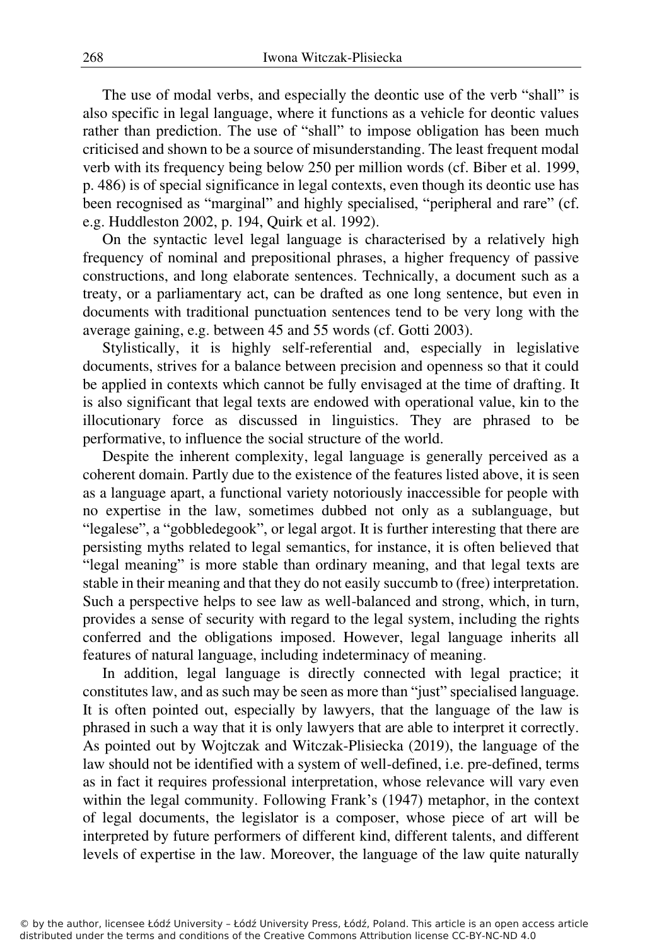The use of modal verbs, and especially the deontic use of the verb "shall" is also specific in legal language, where it functions as a vehicle for deontic values rather than prediction. The use of "shall" to impose obligation has been much criticised and shown to be a source of misunderstanding. The least frequent modal verb with its frequency being below 250 per million words (cf. Biber et al. 1999, p. 486) is of special significance in legal contexts, even though its deontic use has been recognised as "marginal" and highly specialised, "peripheral and rare" (cf. e.g. Huddleston 2002, p. 194, Quirk et al. 1992).

On the syntactic level legal language is characterised by a relatively high frequency of nominal and prepositional phrases, a higher frequency of passive constructions, and long elaborate sentences. Technically, a document such as a treaty, or a parliamentary act, can be drafted as one long sentence, but even in documents with traditional punctuation sentences tend to be very long with the average gaining, e.g. between 45 and 55 words (cf. Gotti 2003).

Stylistically, it is highly self-referential and, especially in legislative documents, strives for a balance between precision and openness so that it could be applied in contexts which cannot be fully envisaged at the time of drafting. It is also significant that legal texts are endowed with operational value, kin to the illocutionary force as discussed in linguistics. They are phrased to be performative, to influence the social structure of the world.

Despite the inherent complexity, legal language is generally perceived as a coherent domain. Partly due to the existence of the features listed above, it is seen as a language apart, a functional variety notoriously inaccessible for people with no expertise in the law, sometimes dubbed not only as a sublanguage, but "legalese", a "gobbledegook", or legal argot. It is further interesting that there are persisting myths related to legal semantics, for instance, it is often believed that "legal meaning" is more stable than ordinary meaning, and that legal texts are stable in their meaning and that they do not easily succumb to (free) interpretation. Such a perspective helps to see law as well-balanced and strong, which, in turn, provides a sense of security with regard to the legal system, including the rights conferred and the obligations imposed. However, legal language inherits all features of natural language, including indeterminacy of meaning.

In addition, legal language is directly connected with legal practice; it constitutes law, and as such may be seen as more than "just" specialised language. It is often pointed out, especially by lawyers, that the language of the law is phrased in such a way that it is only lawyers that are able to interpret it correctly. As pointed out by Wojtczak and Witczak-Plisiecka (2019), the language of the law should not be identified with a system of well-defined, i.e. pre-defined, terms as in fact it requires professional interpretation, whose relevance will vary even within the legal community. Following Frank's (1947) metaphor, in the context of legal documents, the legislator is a composer, whose piece of art will be interpreted by future performers of different kind, different talents, and different levels of expertise in the law. Moreover, the language of the law quite naturally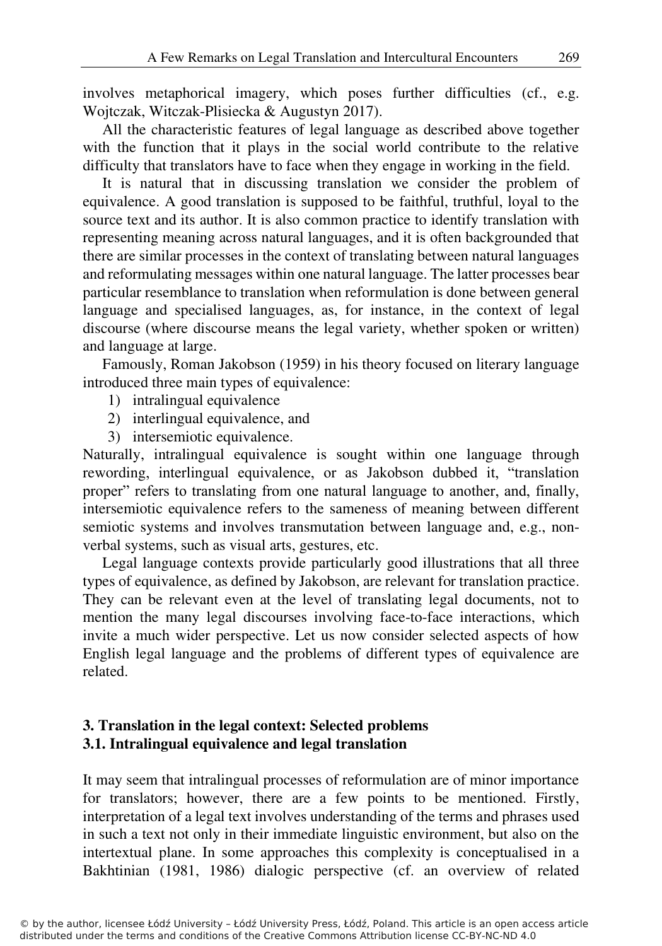involves metaphorical imagery, which poses further difficulties (cf., e.g. Wojtczak, Witczak-Plisiecka & Augustyn 2017).

All the characteristic features of legal language as described above together with the function that it plays in the social world contribute to the relative difficulty that translators have to face when they engage in working in the field.

It is natural that in discussing translation we consider the problem of equivalence. A good translation is supposed to be faithful, truthful, loyal to the source text and its author. It is also common practice to identify translation with representing meaning across natural languages, and it is often backgrounded that there are similar processes in the context of translating between natural languages and reformulating messages within one natural language. The latter processes bear particular resemblance to translation when reformulation is done between general language and specialised languages, as, for instance, in the context of legal discourse (where discourse means the legal variety, whether spoken or written) and language at large.

Famously, Roman Jakobson (1959) in his theory focused on literary language introduced three main types of equivalence:

- 1) intralingual equivalence
- 2) interlingual equivalence, and
- 3) intersemiotic equivalence.

Naturally, intralingual equivalence is sought within one language through rewording, interlingual equivalence, or as Jakobson dubbed it, "translation proper" refers to translating from one natural language to another, and, finally, intersemiotic equivalence refers to the sameness of meaning between different semiotic systems and involves transmutation between language and, e.g., nonverbal systems, such as visual arts, gestures, etc.

Legal language contexts provide particularly good illustrations that all three types of equivalence, as defined by Jakobson, are relevant for translation practice. They can be relevant even at the level of translating legal documents, not to mention the many legal discourses involving face-to-face interactions, which invite a much wider perspective. Let us now consider selected aspects of how English legal language and the problems of different types of equivalence are related.

# **3. Translation in the legal context: Selected problems 3.1. Intralingual equivalence and legal translation**

It may seem that intralingual processes of reformulation are of minor importance for translators; however, there are a few points to be mentioned. Firstly, interpretation of a legal text involves understanding of the terms and phrases used in such a text not only in their immediate linguistic environment, but also on the intertextual plane. In some approaches this complexity is conceptualised in a Bakhtinian (1981, 1986) dialogic perspective (cf. an overview of related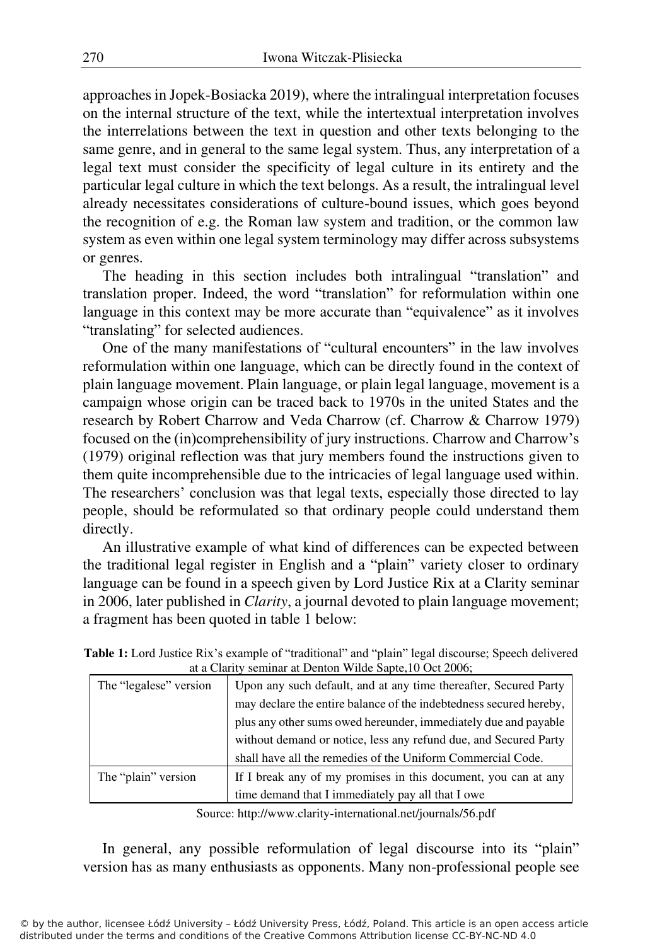approaches in Jopek-Bosiacka 2019), where the intralingual interpretation focuses on the internal structure of the text, while the intertextual interpretation involves the interrelations between the text in question and other texts belonging to the same genre, and in general to the same legal system. Thus, any interpretation of a legal text must consider the specificity of legal culture in its entirety and the particular legal culture in which the text belongs. As a result, the intralingual level already necessitates considerations of culture-bound issues, which goes beyond the recognition of e.g. the Roman law system and tradition, or the common law system as even within one legal system terminology may differ across subsystems or genres.

The heading in this section includes both intralingual "translation" and translation proper. Indeed, the word "translation" for reformulation within one language in this context may be more accurate than "equivalence" as it involves "translating" for selected audiences.

One of the many manifestations of "cultural encounters" in the law involves reformulation within one language, which can be directly found in the context of plain language movement. Plain language, or plain legal language, movement is a campaign whose origin can be traced back to 1970s in the united States and the research by Robert Charrow and Veda Charrow (cf. Charrow & Charrow 1979) focused on the (in)comprehensibility of jury instructions. Charrow and Charrow's (1979) original reflection was that jury members found the instructions given to them quite incomprehensible due to the intricacies of legal language used within. The researchers' conclusion was that legal texts, especially those directed to lay people, should be reformulated so that ordinary people could understand them directly.

An illustrative example of what kind of differences can be expected between the traditional legal register in English and a "plain" variety closer to ordinary language can be found in a speech given by Lord Justice Rix at a Clarity seminar in 2006, later published in *Clarity*, a journal devoted to plain language movement; a fragment has been quoted in table 1 below:

| at a Clarity schimat at Defiton What Sapic, To Oct 2000, |                                                                    |
|----------------------------------------------------------|--------------------------------------------------------------------|
| The "legalese" version                                   | Upon any such default, and at any time thereafter, Secured Party   |
|                                                          | may declare the entire balance of the indebtedness secured hereby, |
|                                                          | plus any other sums owed hereunder, immediately due and payable    |
|                                                          | without demand or notice, less any refund due, and Secured Party   |
|                                                          | shall have all the remedies of the Uniform Commercial Code.        |
| The "plain" version                                      | If I break any of my promises in this document, you can at any     |
|                                                          | time demand that I immediately pay all that I owe                  |

**Table 1:** Lord Justice Rix's example of "traditional" and "plain" legal discourse; Speech delivered at a Clarity seminar at Denton Wilde Sapte,10 Oct 2006;

Source: http://www.clarity-international.net/journals/56.pdf

In general, any possible reformulation of legal discourse into its "plain" version has as many enthusiasts as opponents. Many non-professional people see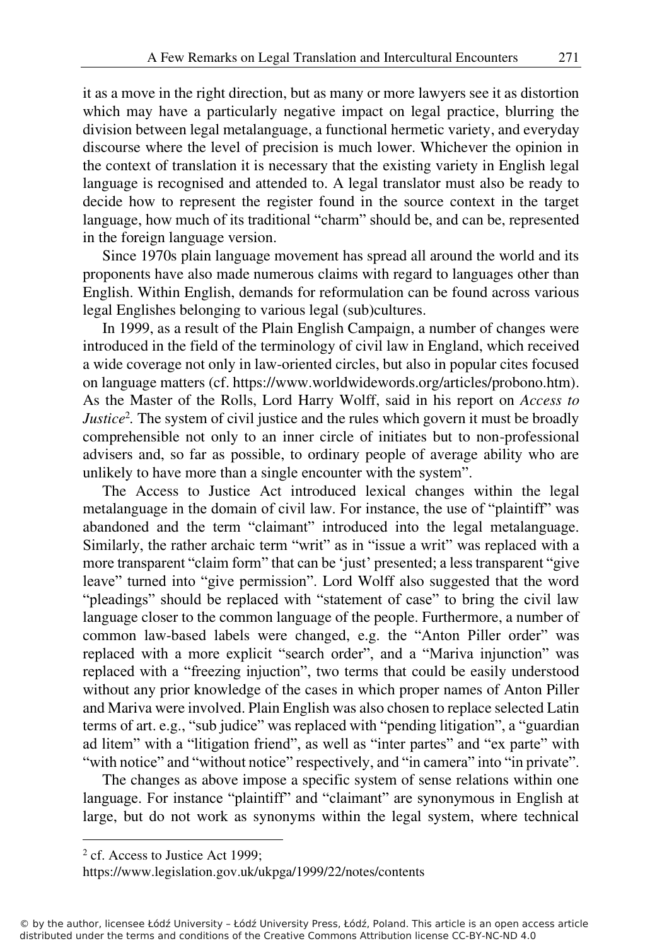it as a move in the right direction, but as many or more lawyers see it as distortion which may have a particularly negative impact on legal practice, blurring the division between legal metalanguage, a functional hermetic variety, and everyday discourse where the level of precision is much lower. Whichever the opinion in the context of translation it is necessary that the existing variety in English legal language is recognised and attended to. A legal translator must also be ready to decide how to represent the register found in the source context in the target language, how much of its traditional "charm" should be, and can be, represented in the foreign language version.

Since 1970s plain language movement has spread all around the world and its proponents have also made numerous claims with regard to languages other than English. Within English, demands for reformulation can be found across various legal Englishes belonging to various legal (sub)cultures.

In 1999, as a result of the Plain English Campaign, a number of changes were introduced in the field of the terminology of civil law in England, which received a wide coverage not only in law-oriented circles, but also in popular cites focused on language matters (cf. https://www.worldwidewords.org/articles/probono.htm). As the Master of the Rolls, Lord Harry Wolff, said in his report on *Access to Justice*<sup>2</sup>. The system of civil justice and the rules which govern it must be broadly comprehensible not only to an inner circle of initiates but to non-professional advisers and, so far as possible, to ordinary people of average ability who are unlikely to have more than a single encounter with the system".

The Access to Justice Act introduced lexical changes within the legal metalanguage in the domain of civil law. For instance, the use of "plaintiff" was abandoned and the term "claimant" introduced into the legal metalanguage. Similarly, the rather archaic term "writ" as in "issue a writ" was replaced with a more transparent "claim form" that can be 'just' presented; a less transparent "give leave" turned into "give permission". Lord Wolff also suggested that the word "pleadings" should be replaced with "statement of case" to bring the civil law language closer to the common language of the people. Furthermore, a number of common law-based labels were changed, e.g. the "Anton Piller order" was replaced with a more explicit "search order", and a "Mariva injunction" was replaced with a "freezing injuction", two terms that could be easily understood without any prior knowledge of the cases in which proper names of Anton Piller and Mariva were involved. Plain English was also chosen to replace selected Latin terms of art. e.g., "sub judice" was replaced with "pending litigation", a "guardian ad litem" with a "litigation friend", as well as "inter partes" and "ex parte" with "with notice" and "without notice" respectively, and "in camera" into "in private".

The changes as above impose a specific system of sense relations within one language. For instance "plaintiff" and "claimant" are synonymous in English at large, but do not work as synonyms within the legal system, where technical

<sup>&</sup>lt;sup>2</sup> cf. Access to Justice Act 1999;

https://www.legislation.gov.uk/ukpga/1999/22/notes/contents

<sup>©</sup> by the author, licensee Łódź University – Łódź University Press, Łódź, Poland. This article is an open access article distributed under the terms and conditions of the Creative Commons Attribution license CC-BY-NC-ND 4.0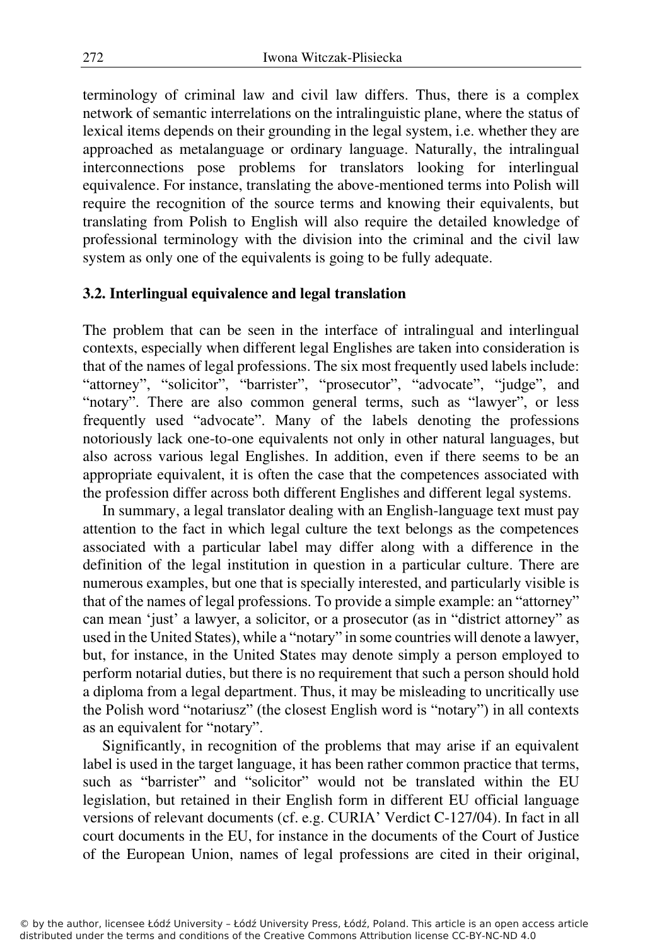terminology of criminal law and civil law differs. Thus, there is a complex network of semantic interrelations on the intralinguistic plane, where the status of lexical items depends on their grounding in the legal system, i.e. whether they are approached as metalanguage or ordinary language. Naturally, the intralingual interconnections pose problems for translators looking for interlingual equivalence. For instance, translating the above-mentioned terms into Polish will require the recognition of the source terms and knowing their equivalents, but translating from Polish to English will also require the detailed knowledge of professional terminology with the division into the criminal and the civil law system as only one of the equivalents is going to be fully adequate.

# **3.2. Interlingual equivalence and legal translation**

The problem that can be seen in the interface of intralingual and interlingual contexts, especially when different legal Englishes are taken into consideration is that of the names of legal professions. The six most frequently used labels include: "attorney", "solicitor", "barrister", "prosecutor", "advocate", "judge", and "notary". There are also common general terms, such as "lawyer", or less frequently used "advocate". Many of the labels denoting the professions notoriously lack one-to-one equivalents not only in other natural languages, but also across various legal Englishes. In addition, even if there seems to be an appropriate equivalent, it is often the case that the competences associated with the profession differ across both different Englishes and different legal systems.

In summary, a legal translator dealing with an English-language text must pay attention to the fact in which legal culture the text belongs as the competences associated with a particular label may differ along with a difference in the definition of the legal institution in question in a particular culture. There are numerous examples, but one that is specially interested, and particularly visible is that of the names of legal professions. To provide a simple example: an "attorney" can mean 'just' a lawyer, a solicitor, or a prosecutor (as in "district attorney" as used in the United States), while a "notary" in some countries will denote a lawyer, but, for instance, in the United States may denote simply a person employed to perform notarial duties, but there is no requirement that such a person should hold a diploma from a legal department. Thus, it may be misleading to uncritically use the Polish word "notariusz" (the closest English word is "notary") in all contexts as an equivalent for "notary".

Significantly, in recognition of the problems that may arise if an equivalent label is used in the target language, it has been rather common practice that terms, such as "barrister" and "solicitor" would not be translated within the EU legislation, but retained in their English form in different EU official language versions of relevant documents (cf. e.g. CURIA' Verdict C-127/04). In fact in all court documents in the EU, for instance in the documents of the Court of Justice of the European Union, names of legal professions are cited in their original,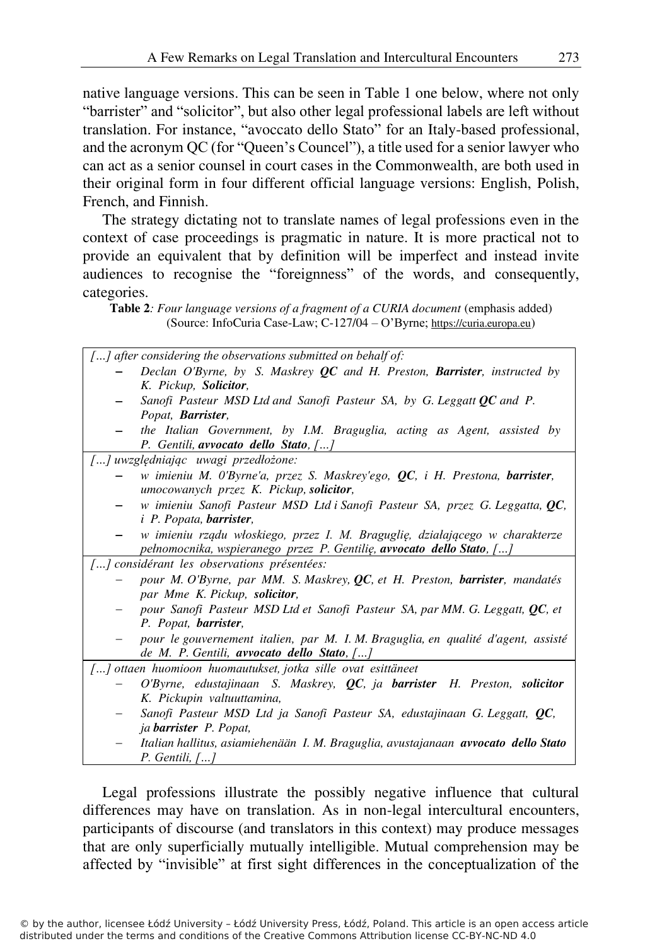native language versions. This can be seen in Table 1 one below, where not only "barrister" and "solicitor", but also other legal professional labels are left without translation. For instance, "avoccato dello Stato" for an Italy-based professional, and the acronym QC (for "Queen's Councel"), a title used for a senior lawyer who can act as a senior counsel in court cases in the Commonwealth, are both used in their original form in four different official language versions: English, Polish, French, and Finnish.

The strategy dictating not to translate names of legal professions even in the context of case proceedings is pragmatic in nature. It is more practical not to provide an equivalent that by definition will be imperfect and instead invite audiences to recognise the "foreignness" of the words, and consequently, categories.

**Table 2***: Four language versions of a fragment of a CURIA document* (emphasis added) (Source: InfoCuria Case-Law; C-127/04 – O'Byrne; https://curia.europa.eu)

| $\left[ \ldots \right]$ after considering the observations submitted on behalf of: |                                                                                           |  |
|------------------------------------------------------------------------------------|-------------------------------------------------------------------------------------------|--|
|                                                                                    | Declan O'Byrne, by S. Maskrey QC and H. Preston, Barrister, instructed by                 |  |
|                                                                                    | K. Pickup, <b>Solicitor</b> ,                                                             |  |
|                                                                                    | Sanofi Pasteur MSD Ltd and Sanofi Pasteur SA, by G. Leggatt $QC$ and P.                   |  |
|                                                                                    | Popat, <b>Barrister</b> ,                                                                 |  |
|                                                                                    | the Italian Government, by I.M. Braguglia, acting as Agent, assisted by                   |  |
|                                                                                    | P. Gentili, avvocato dello Stato, []                                                      |  |
| [] uwzględniając uwagi przedłożone:                                                |                                                                                           |  |
|                                                                                    | w imieniu M. O'Byrne'a, przez S. Maskrey'ego, QC, i H. Prestona, barrister,               |  |
|                                                                                    | umocowanych przez K. Pickup, solicitor,                                                   |  |
|                                                                                    | w imieniu Sanofi Pasteur MSD Ltd i Sanofi Pasteur SA, przez G. Leggatta, QC,              |  |
|                                                                                    | <i>i P. Popata</i> , <i>barrister</i> ,                                                   |  |
|                                                                                    | w imieniu rządu włoskiego, przez I. M. Braguglię, działającego w charakterze              |  |
|                                                                                    | pełnomocnika, wspieranego przez P. Gentilię, avvocato dello Stato, []                     |  |
|                                                                                    | [] considérant les observations présentées:                                               |  |
|                                                                                    | pour M. O'Byrne, par MM. S. Maskrey, QC, et H. Preston, barrister, mandatés               |  |
|                                                                                    | par Mme K. Pickup, solicitor,                                                             |  |
|                                                                                    | pour Sanofi Pasteur MSD Ltd et Sanofi Pasteur SA, par MM. G. Leggatt, QC, et              |  |
|                                                                                    | P. Popat, barrister,                                                                      |  |
|                                                                                    | pour le gouvernement italien, par M. I. M. Braguglia, en qualité d'agent, assisté         |  |
|                                                                                    | de M. P. Gentili, avvocato dello Stato, $[]$                                              |  |
|                                                                                    | [] ottaen huomioon huomautukset, jotka sille ovat esittäneet                              |  |
|                                                                                    | O'Byrne, edustajinaan S. Maskrey, QC, ja barrister H. Preston, solicitor                  |  |
|                                                                                    | K. Pickupin valtuuttamina,                                                                |  |
|                                                                                    | Sanofi Pasteur MSD Ltd ja Sanofi Pasteur SA, edustajinaan G. Leggatt, QC,                 |  |
|                                                                                    | ja <b>barrister</b> P. Popat,                                                             |  |
|                                                                                    | Italian hallitus, asiamiehenään I. M. Braguglia, avustajanaan <b>avvocato dello Stato</b> |  |
|                                                                                    | $P. Gentili, \lceil  \rceil$                                                              |  |

Legal professions illustrate the possibly negative influence that cultural differences may have on translation. As in non-legal intercultural encounters, participants of discourse (and translators in this context) may produce messages that are only superficially mutually intelligible. Mutual comprehension may be affected by "invisible" at first sight differences in the conceptualization of the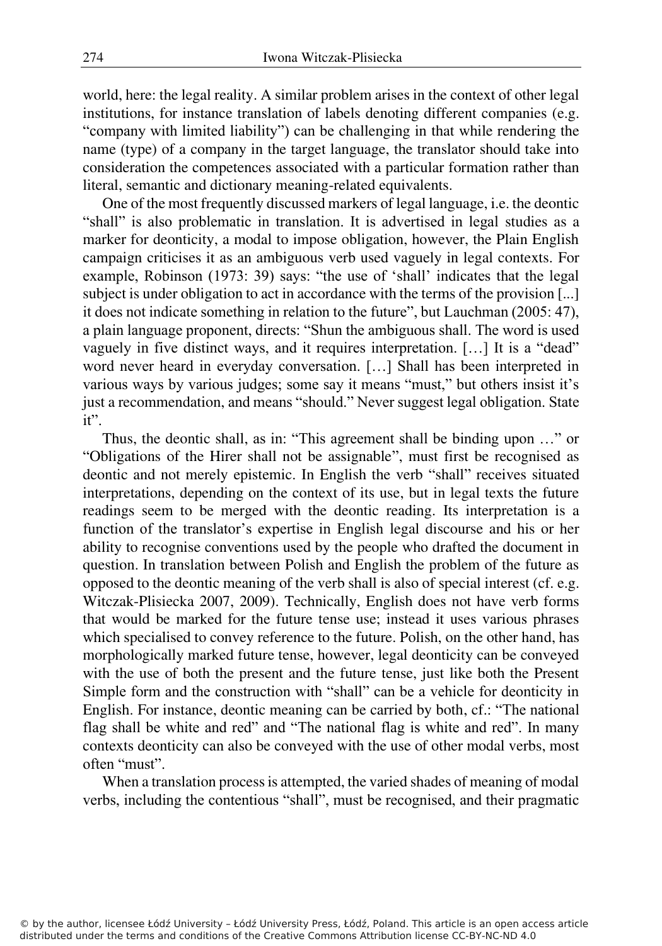world, here: the legal reality. A similar problem arises in the context of other legal institutions, for instance translation of labels denoting different companies (e.g. "company with limited liability") can be challenging in that while rendering the name (type) of a company in the target language, the translator should take into consideration the competences associated with a particular formation rather than literal, semantic and dictionary meaning-related equivalents.

One of the most frequently discussed markers of legal language, i.e. the deontic "shall" is also problematic in translation. It is advertised in legal studies as a marker for deonticity, a modal to impose obligation, however, the Plain English campaign criticises it as an ambiguous verb used vaguely in legal contexts. For example, Robinson (1973: 39) says: "the use of 'shall' indicates that the legal subject is under obligation to act in accordance with the terms of the provision [...] it does not indicate something in relation to the future", but Lauchman (2005: 47), a plain language proponent, directs: "Shun the ambiguous shall. The word is used vaguely in five distinct ways, and it requires interpretation. […] It is a "dead" word never heard in everyday conversation. […] Shall has been interpreted in various ways by various judges; some say it means "must," but others insist it's just a recommendation, and means "should." Never suggest legal obligation. State it".

Thus, the deontic shall, as in: "This agreement shall be binding upon …" or "Obligations of the Hirer shall not be assignable", must first be recognised as deontic and not merely epistemic. In English the verb "shall" receives situated interpretations, depending on the context of its use, but in legal texts the future readings seem to be merged with the deontic reading. Its interpretation is a function of the translator's expertise in English legal discourse and his or her ability to recognise conventions used by the people who drafted the document in question. In translation between Polish and English the problem of the future as opposed to the deontic meaning of the verb shall is also of special interest (cf. e.g. Witczak-Plisiecka 2007, 2009). Technically, English does not have verb forms that would be marked for the future tense use; instead it uses various phrases which specialised to convey reference to the future. Polish, on the other hand, has morphologically marked future tense, however, legal deonticity can be conveyed with the use of both the present and the future tense, just like both the Present Simple form and the construction with "shall" can be a vehicle for deonticity in English. For instance, deontic meaning can be carried by both, cf.: "The national flag shall be white and red" and "The national flag is white and red". In many contexts deonticity can also be conveyed with the use of other modal verbs, most often "must".

When a translation process is attempted, the varied shades of meaning of modal verbs, including the contentious "shall", must be recognised, and their pragmatic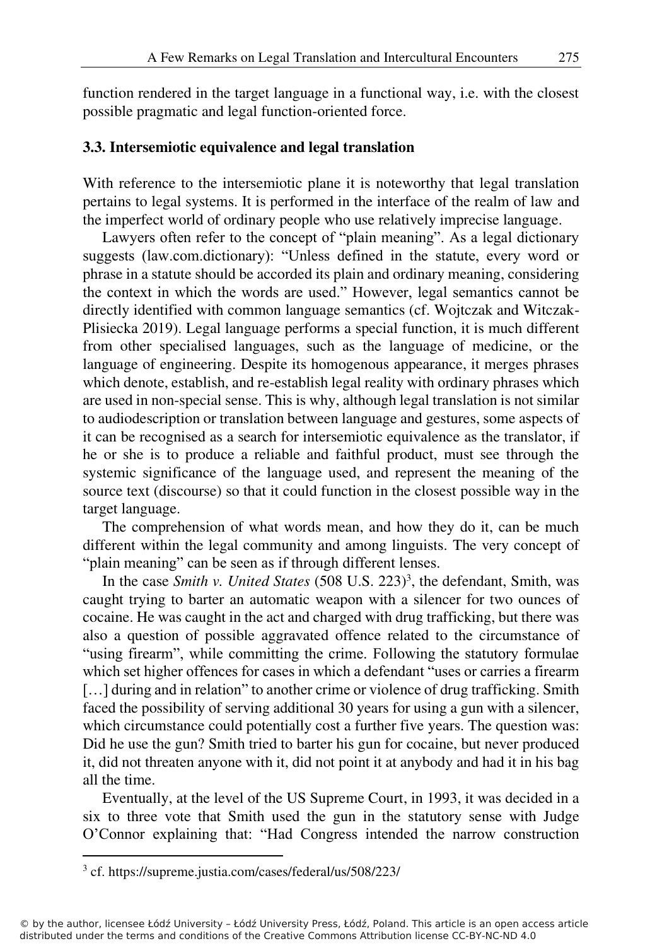function rendered in the target language in a functional way, i.e. with the closest possible pragmatic and legal function-oriented force.

## **3.3. Intersemiotic equivalence and legal translation**

With reference to the intersemiotic plane it is noteworthy that legal translation pertains to legal systems. It is performed in the interface of the realm of law and the imperfect world of ordinary people who use relatively imprecise language.

Lawyers often refer to the concept of "plain meaning". As a legal dictionary suggests (law.com.dictionary): "Unless defined in the statute, every word or phrase in a statute should be accorded its plain and ordinary meaning, considering the context in which the words are used." However, legal semantics cannot be directly identified with common language semantics (cf. Wojtczak and Witczak-Plisiecka 2019). Legal language performs a special function, it is much different from other specialised languages, such as the language of medicine, or the language of engineering. Despite its homogenous appearance, it merges phrases which denote, establish, and re-establish legal reality with ordinary phrases which are used in non-special sense. This is why, although legal translation is not similar to audiodescription or translation between language and gestures, some aspects of it can be recognised as a search for intersemiotic equivalence as the translator, if he or she is to produce a reliable and faithful product, must see through the systemic significance of the language used, and represent the meaning of the source text (discourse) so that it could function in the closest possible way in the target language.

The comprehension of what words mean, and how they do it, can be much different within the legal community and among linguists. The very concept of "plain meaning" can be seen as if through different lenses.

In the case *Smith v. United States* (508 U.S. 223)<sup>3</sup>, the defendant, Smith, was caught trying to barter an automatic weapon with a silencer for two ounces of cocaine. He was caught in the act and charged with drug trafficking, but there was also a question of possible aggravated offence related to the circumstance of "using firearm", while committing the crime. Following the statutory formulae which set higher offences for cases in which a defendant "uses or carries a firearm [...] during and in relation" to another crime or violence of drug trafficking. Smith faced the possibility of serving additional 30 years for using a gun with a silencer, which circumstance could potentially cost a further five years. The question was: Did he use the gun? Smith tried to barter his gun for cocaine, but never produced it, did not threaten anyone with it, did not point it at anybody and had it in his bag all the time.

Eventually, at the level of the US Supreme Court, in 1993, it was decided in a six to three vote that Smith used the gun in the statutory sense with Judge O'Connor explaining that: "Had Congress intended the narrow construction

<sup>3</sup> cf. https://supreme.justia.com/cases/federal/us/508/223/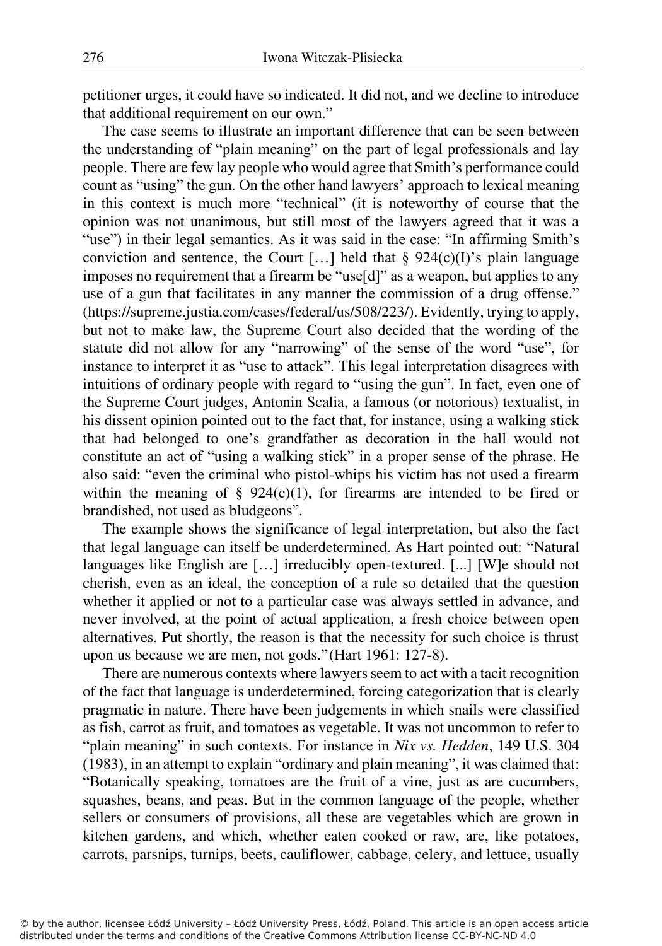petitioner urges, it could have so indicated. It did not, and we decline to introduce that additional requirement on our own."

The case seems to illustrate an important difference that can be seen between the understanding of "plain meaning" on the part of legal professionals and lay people. There are few lay people who would agree that Smith's performance could count as "using" the gun. On the other hand lawyers' approach to lexical meaning in this context is much more "technical" (it is noteworthy of course that the opinion was not unanimous, but still most of the lawyers agreed that it was a "use") in their legal semantics. As it was said in the case: "In affirming Smith's conviction and sentence, the Court [...] held that  $\S$  924(c)(I)'s plain language imposes no requirement that a firearm be "use[d]" as a weapon, but applies to any use of a gun that facilitates in any manner the commission of a drug offense." (https://supreme.justia.com/cases/federal/us/508/223/). Evidently, trying to apply, but not to make law, the Supreme Court also decided that the wording of the statute did not allow for any "narrowing" of the sense of the word "use", for instance to interpret it as "use to attack". This legal interpretation disagrees with intuitions of ordinary people with regard to "using the gun". In fact, even one of the Supreme Court judges, Antonin Scalia, a famous (or notorious) textualist, in his dissent opinion pointed out to the fact that, for instance, using a walking stick that had belonged to one's grandfather as decoration in the hall would not constitute an act of "using a walking stick" in a proper sense of the phrase. He also said: "even the criminal who pistol-whips his victim has not used a firearm within the meaning of  $\S$  924(c)(1), for firearms are intended to be fired or brandished, not used as bludgeons".

The example shows the significance of legal interpretation, but also the fact that legal language can itself be underdetermined. As Hart pointed out: "Natural languages like English are […] irreducibly open-textured. [...] [W]e should not cherish, even as an ideal, the conception of a rule so detailed that the question whether it applied or not to a particular case was always settled in advance, and never involved, at the point of actual application, a fresh choice between open alternatives. Put shortly, the reason is that the necessity for such choice is thrust upon us because we are men, not gods." (Hart 1961: 127-8).

There are numerous contexts where lawyers seem to act with a tacit recognition of the fact that language is underdetermined, forcing categorization that is clearly pragmatic in nature. There have been judgements in which snails were classified as fish, carrot as fruit, and tomatoes as vegetable. It was not uncommon to refer to "plain meaning" in such contexts. For instance in *Nix vs. Hedden*, 149 U.S. 304 (1983), in an attempt to explain "ordinary and plain meaning", it was claimed that: "Botanically speaking, tomatoes are the fruit of a vine, just as are cucumbers, squashes, beans, and peas. But in the common language of the people, whether sellers or consumers of provisions, all these are vegetables which are grown in kitchen gardens, and which, whether eaten cooked or raw, are, like potatoes, carrots, parsnips, turnips, beets, cauliflower, cabbage, celery, and lettuce, usually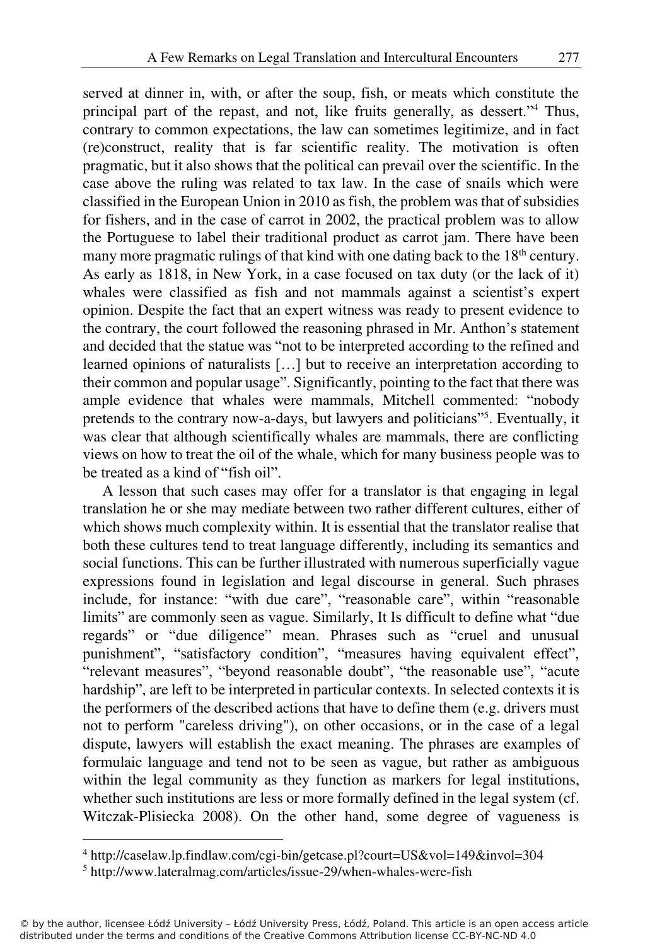served at dinner in, with, or after the soup, fish, or meats which constitute the principal part of the repast, and not, like fruits generally, as dessert."<sup>4</sup> Thus, contrary to common expectations, the law can sometimes legitimize, and in fact (re)construct, reality that is far scientific reality. The motivation is often pragmatic, but it also shows that the political can prevail over the scientific. In the case above the ruling was related to tax law. In the case of snails which were classified in the European Union in 2010 as fish, the problem was that of subsidies for fishers, and in the case of carrot in 2002, the practical problem was to allow the Portuguese to label their traditional product as carrot jam. There have been many more pragmatic rulings of that kind with one dating back to the  $18<sup>th</sup>$  century. As early as 1818, in New York, in a case focused on tax duty (or the lack of it) whales were classified as fish and not mammals against a scientist's expert opinion. Despite the fact that an expert witness was ready to present evidence to the contrary, the court followed the reasoning phrased in Mr. Anthon's statement and decided that the statue was "not to be interpreted according to the refined and learned opinions of naturalists […] but to receive an interpretation according to their common and popular usage". Significantly, pointing to the fact that there was ample evidence that whales were mammals, Mitchell commented: "nobody pretends to the contrary now-a-days, but lawyers and politicians"<sup>5</sup>. Eventually, it was clear that although scientifically whales are mammals, there are conflicting views on how to treat the oil of the whale, which for many business people was to be treated as a kind of "fish oil".

A lesson that such cases may offer for a translator is that engaging in legal translation he or she may mediate between two rather different cultures, either of which shows much complexity within. It is essential that the translator realise that both these cultures tend to treat language differently, including its semantics and social functions. This can be further illustrated with numerous superficially vague expressions found in legislation and legal discourse in general. Such phrases include, for instance: "with due care", "reasonable care", within "reasonable limits" are commonly seen as vague. Similarly, It Is difficult to define what "due regards" or "due diligence" mean. Phrases such as "cruel and unusual punishment", "satisfactory condition", "measures having equivalent effect", "relevant measures", "beyond reasonable doubt", "the reasonable use", "acute hardship", are left to be interpreted in particular contexts. In selected contexts it is the performers of the described actions that have to define them (e.g. drivers must not to perform "careless driving"), on other occasions, or in the case of a legal dispute, lawyers will establish the exact meaning. The phrases are examples of formulaic language and tend not to be seen as vague, but rather as ambiguous within the legal community as they function as markers for legal institutions, whether such institutions are less or more formally defined in the legal system (cf. Witczak-Plisiecka 2008). On the other hand, some degree of vagueness is

<sup>4</sup> http://caselaw.lp.findlaw.com/cgi-bin/getcase.pl?court=US&vol=149&invol=304

<sup>5</sup> http://www.lateralmag.com/articles/issue-29/when-whales-were-fish

<sup>©</sup> by the author, licensee Łódź University – Łódź University Press, Łódź, Poland. This article is an open access article distributed under the terms and conditions of the Creative Commons Attribution license CC-BY-NC-ND 4.0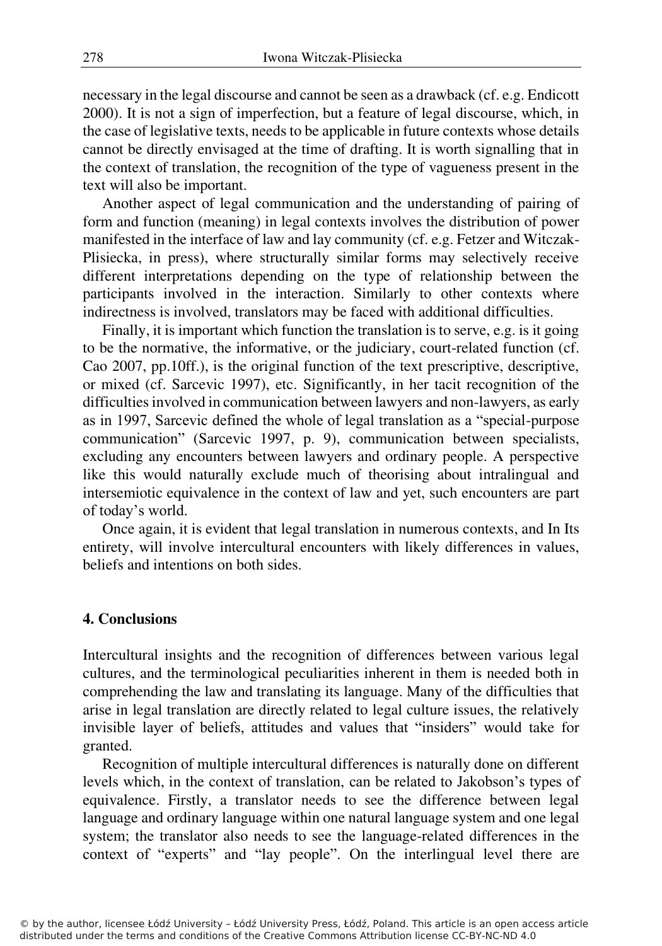necessary in the legal discourse and cannot be seen as a drawback (cf. e.g. Endicott 2000). It is not a sign of imperfection, but a feature of legal discourse, which, in the case of legislative texts, needs to be applicable in future contexts whose details cannot be directly envisaged at the time of drafting. It is worth signalling that in the context of translation, the recognition of the type of vagueness present in the text will also be important.

Another aspect of legal communication and the understanding of pairing of form and function (meaning) in legal contexts involves the distribution of power manifested in the interface of law and lay community (cf. e.g. Fetzer and Witczak-Plisiecka, in press), where structurally similar forms may selectively receive different interpretations depending on the type of relationship between the participants involved in the interaction. Similarly to other contexts where indirectness is involved, translators may be faced with additional difficulties.

Finally, it is important which function the translation is to serve, e.g. is it going to be the normative, the informative, or the judiciary, court-related function (cf. Cao 2007, pp.10ff.), is the original function of the text prescriptive, descriptive, or mixed (cf. Sarcevic 1997), etc. Significantly, in her tacit recognition of the difficulties involved in communication between lawyers and non-lawyers, as early as in 1997, Sarcevic defined the whole of legal translation as a "special-purpose communication" (Sarcevic 1997, p. 9), communication between specialists, excluding any encounters between lawyers and ordinary people. A perspective like this would naturally exclude much of theorising about intralingual and intersemiotic equivalence in the context of law and yet, such encounters are part of today's world.

Once again, it is evident that legal translation in numerous contexts, and In Its entirety, will involve intercultural encounters with likely differences in values, beliefs and intentions on both sides.

### **4. Conclusions**

Intercultural insights and the recognition of differences between various legal cultures, and the terminological peculiarities inherent in them is needed both in comprehending the law and translating its language. Many of the difficulties that arise in legal translation are directly related to legal culture issues, the relatively invisible layer of beliefs, attitudes and values that "insiders" would take for granted.

Recognition of multiple intercultural differences is naturally done on different levels which, in the context of translation, can be related to Jakobson's types of equivalence. Firstly, a translator needs to see the difference between legal language and ordinary language within one natural language system and one legal system; the translator also needs to see the language-related differences in the context of "experts" and "lay people". On the interlingual level there are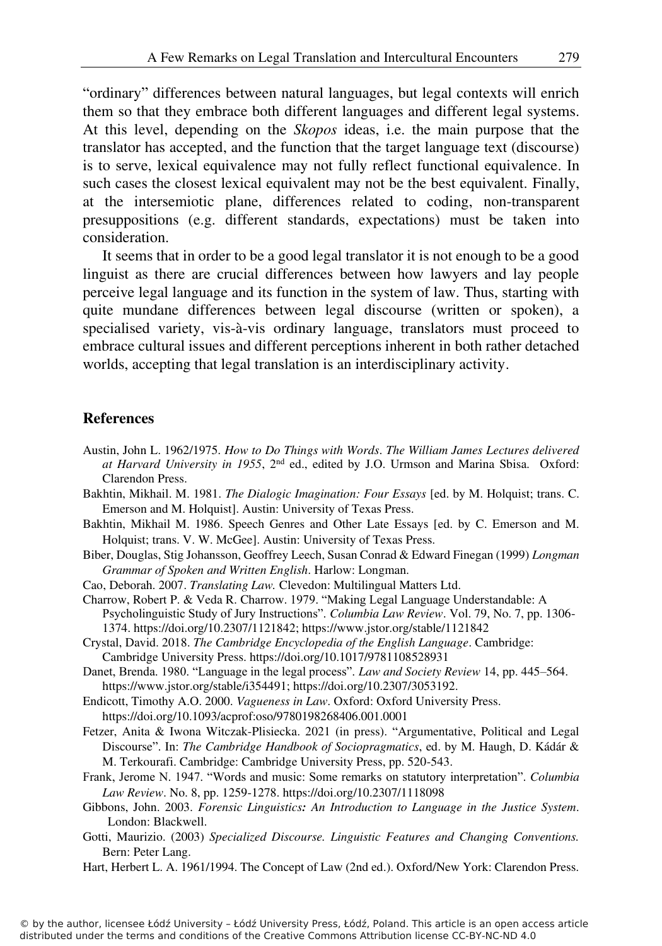"ordinary" differences between natural languages, but legal contexts will enrich them so that they embrace both different languages and different legal systems. At this level, depending on the *Skopos* ideas, i.e. the main purpose that the translator has accepted, and the function that the target language text (discourse) is to serve, lexical equivalence may not fully reflect functional equivalence. In such cases the closest lexical equivalent may not be the best equivalent. Finally, at the intersemiotic plane, differences related to coding, non-transparent presuppositions (e.g. different standards, expectations) must be taken into consideration.

It seems that in order to be a good legal translator it is not enough to be a good linguist as there are crucial differences between how lawyers and lay people perceive legal language and its function in the system of law. Thus, starting with quite mundane differences between legal discourse (written or spoken), a specialised variety, vis-à-vis ordinary language, translators must proceed to embrace cultural issues and different perceptions inherent in both rather detached worlds, accepting that legal translation is an interdisciplinary activity.

### **References**

- Austin, John L. 1962/1975. *How to Do Things with Words*. *The William James Lectures delivered at Harvard University in 1955*, 2nd ed., edited by J.O. Urmson and Marina Sbisa. Oxford: Clarendon Press.
- Bakhtin, Mikhail. M. 1981. *The Dialogic Imagination: Four Essays* [ed. by M. Holquist; trans. C. Emerson and M. Holquist]. Austin: University of Texas Press.
- Bakhtin, Mikhail M. 1986. Speech Genres and Other Late Essays [ed. by C. Emerson and M. Holquist; trans. V. W. McGee]. Austin: University of Texas Press.
- Biber, Douglas, Stig Johansson, Geoffrey Leech, Susan Conrad & Edward Finegan (1999) *Longman Grammar of Spoken and Written English*. Harlow: Longman.
- Cao, Deborah. 2007. *Translating Law.* Clevedon: Multilingual Matters Ltd.
- Charrow, Robert P. & Veda R. Charrow. 1979. "Making Legal Language Understandable: A Psycholinguistic Study of Jury Instructions". *Columbia Law Review*. Vol. 79, No. 7, pp. 1306- 1374. https://doi.org/10.2307/1121842; https://www.jstor.org/stable/1121842
- Crystal, David. 2018. *The Cambridge Encyclopedia of the English Language*. Cambridge: Cambridge University Press. https://doi.org/10.1017/9781108528931
- Danet, Brenda. 1980. "Language in the legal process". *Law and Society Review* 14, pp. 445–564. https://www.jstor.org/stable/i354491; https://doi.org/10.2307/3053192.
- Endicott, Timothy A.O. 2000. *Vagueness in Law*. Oxford: Oxford University Press. https://doi.org/10.1093/acprof:oso/9780198268406.001.0001
- Fetzer, Anita & Iwona Witczak-Plisiecka. 2021 (in press). "Argumentative, Political and Legal Discourse". In: *The Cambridge Handbook of Sociopragmatics*, ed. by M. Haugh, D. Kádár & M. Terkourafi. Cambridge: Cambridge University Press, pp. 520-543.
- Frank, Jerome N. 1947. "Words and music: Some remarks on statutory interpretation". *Columbia Law Review*. No. 8, pp. 1259-1278. https://doi.org/10.2307/1118098
- Gibbons, John. 2003. *Forensic Linguistics: An Introduction to Language in the Justice System*. London: Blackwell.
- Gotti, Maurizio. (2003) *Specialized Discourse. Linguistic Features and Changing Conventions.*  Bern: Peter Lang.
- Hart, Herbert L. A. 1961/1994. The Concept of Law (2nd ed.). Oxford/New York: Clarendon Press.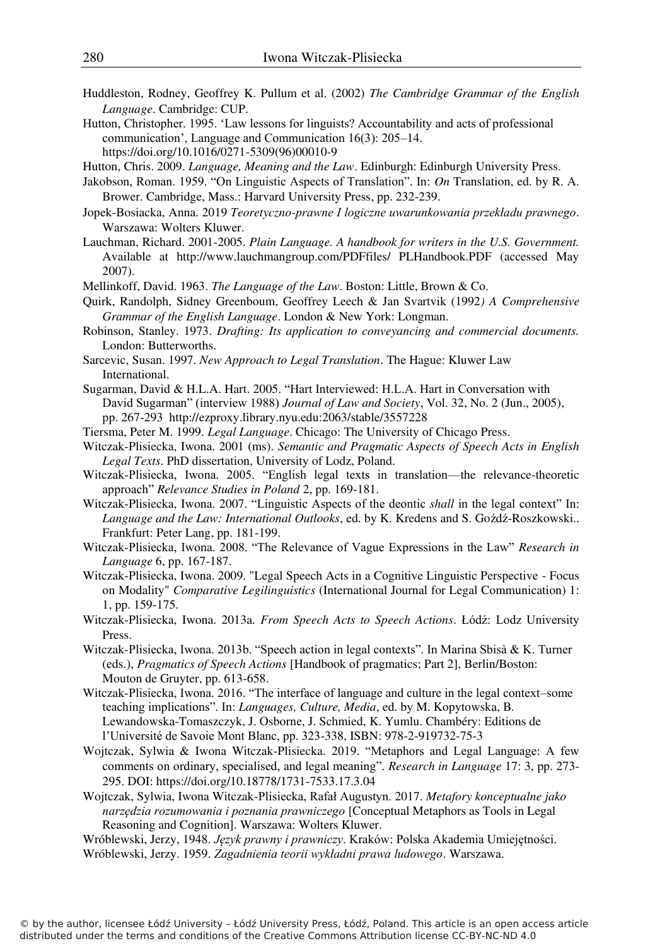- Huddleston, Rodney, Geoffrey K. Pullum et al. (2002) *The Cambridge Grammar of the English Language*. Cambridge: CUP.
- Hutton, Christopher. 1995. 'Law lessons for linguists? Accountability and acts of professional communication', Language and Communication 16(3): 205–14. https://doi.org/10.1016/0271-5309(96)00010-9
- Hutton, Chris. 2009. *Language, Meaning and the Law*. Edinburgh: Edinburgh University Press.
- Jakobson, Roman. 1959. "On Linguistic Aspects of Translation". In: *On* Translation, ed. by R. A. Brower. Cambridge, Mass.: Harvard University Press, pp. 232-239.
- Jopek-Bosiacka, Anna. 2019 *Teoretyczno-prawne I logiczne uwarunkowania przekładu prawnego*. Warszawa: Wolters Kluwer.
- Lauchman, Richard. 2001-2005. *Plain Language. A handbook for writers in the U.S. Government.* Available at http://www.lauchmangroup.com/PDFfiles/ PLHandbook.PDF (accessed May 2007).
- Mellinkoff, David. 1963. *The Language of the Law*. Boston: Little, Brown & Co.
- Quirk, Randolph, Sidney Greenboum, Geoffrey Leech & Jan Svartvik (1992*) A Comprehensive Grammar of the English Language*. London & New York: Longman.
- Robinson, Stanley. 1973. *Drafting: Its application to conveyancing and commercial documents.* London: Butterworths.
- Sarcevic, Susan. 1997. *New Approach to Legal Translation*. The Hague: Kluwer Law International.
- Sugarman, David & H.L.A. Hart. 2005. "Hart Interviewed: H.L.A. Hart in Conversation with David Sugarman" (interview 1988) *Journal of Law and Society*, Vol. 32, No. 2 (Jun., 2005), pp. 267-293 http://ezproxy.library.nyu.edu:2063/stable/3557228
- Tiersma, Peter M. 1999. *Legal Language*. Chicago: The University of Chicago Press.
- Witczak-Plisiecka, Iwona. 2001 (ms). *Semantic and Pragmatic Aspects of Speech Acts in English Legal Texts*. PhD dissertation, University of Lodz, Poland.
- Witczak-Plisiecka, Iwona. 2005. "English legal texts in translation—the relevance-theoretic approach" *Relevance Studies in Poland* 2, pp. 169-181.
- Witczak-Plisiecka, Iwona. 2007. "Linguistic Aspects of the deontic *shall* in the legal context" In: *Language and the Law: International Outlooks*, ed. by K. Kredens and S. Goźdź-Roszkowski.. Frankfurt: Peter Lang, pp. 181-199.
- Witczak-Plisiecka, Iwona. 2008. "The Relevance of Vague Expressions in the Law" *Research in Language* 6, pp. 167-187.
- Witczak-Plisiecka, Iwona. 2009. "Legal Speech Acts in a Cognitive Linguistic Perspective Focus on Modality" *Comparative Legilinguistics* (International Journal for Legal Communication) 1: 1, pp. 159-175.
- Witczak-Plisiecka, Iwona. 2013a. *From Speech Acts to Speech Actions*. Łódź: Lodz University Press.
- Witczak-Plisiecka, Iwona. 2013b. "Speech action in legal contexts". In Marina Sbisà & K. Turner (eds.), *Pragmatics of Speech Actions* [Handbook of pragmatics; Part 2], Berlin/Boston: Mouton de Gruyter, pp. 613-658.
- Witczak-Plisiecka, Iwona. 2016. "The interface of language and culture in the legal context–some teaching implications". In: *Languages, Culture, Media*, ed. by M. Kopytowska, B. Lewandowska-Tomaszczyk, J. Osborne, J. Schmied, K. Yumlu. Chambéry: Editions de l'Université de Savoie Mont Blanc, pp. 323-338, ISBN: 978-2-919732-75-3
- Wojtczak, Sylwia & Iwona Witczak-Plisiecka. 2019. "Metaphors and Legal Language: A few comments on ordinary, specialised, and legal meaning". *Research in Language* 17: 3, pp. 273- 295. DOI: https://doi.org/10.18778/1731-7533.17.3.04
- Wojtczak, Sylwia, Iwona Witczak-Plisiecka, Rafał Augustyn. 2017. *Metafory konceptualne jako narzędzia rozumowania i poznania prawniczego* [Conceptual Metaphors as Tools in Legal Reasoning and Cognition]. Warszawa: Wolters Kluwer.
- Wróblewski, Jerzy, 1948. *Język prawny i prawniczy*. Kraków: Polska Akademia Umiejętności. Wróblewski, Jerzy. 1959. *Zagadnienia teorii wykładni prawa ludowego*. Warszawa.